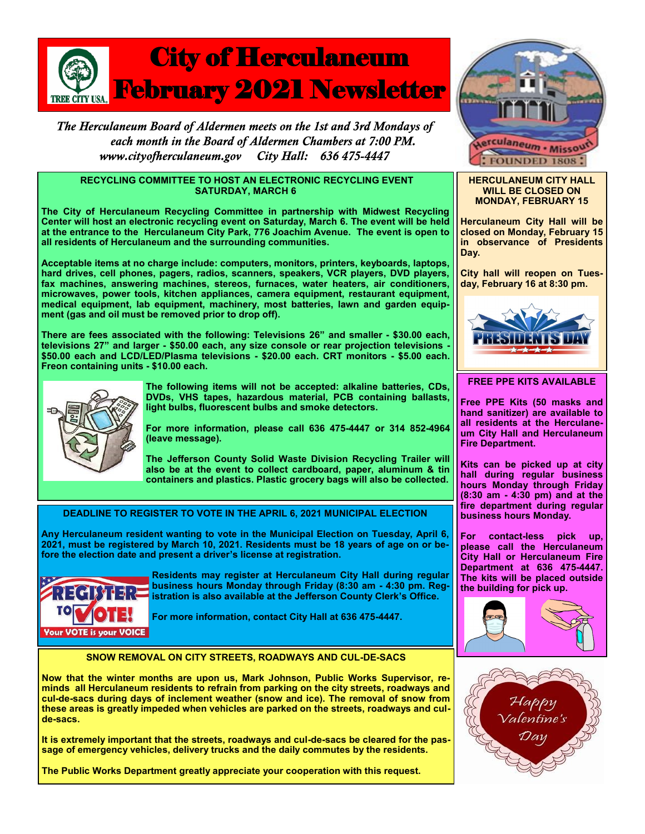

The Herculaneum Board of Aldermen meets on the 1st and 3rd Mondays of each month in the Board of Aldermen Chambers at 7:00 PM. www.cityofherculaneum.gov City Hall: 636 475-4447

#### **RECYCLING COMMITTEE TO HOST AN ELECTRONIC RECYCLING EVENT SATURDAY, MARCH 6**

**The City of Herculaneum Recycling Committee in partnership with Midwest Recycling Center will host an electronic recycling event on Saturday, March 6. The event will be held at the entrance to the Herculaneum City Park, 776 Joachim Avenue. The event is open to all residents of Herculaneum and the surrounding communities.**

**Acceptable items at no charge include: computers, monitors, printers, keyboards, laptops, hard drives, cell phones, pagers, radios, scanners, speakers, VCR players, DVD players, fax machines, answering machines, stereos, furnaces, water heaters, air conditioners, microwaves, power tools, kitchen appliances, camera equipment, restaurant equipment, medical equipment, lab equipment, machinery, most batteries, lawn and garden equipment (gas and oil must be removed prior to drop off).** 

**There are fees associated with the following: Televisions 26" and smaller - \$30.00 each, televisions 27" and larger - \$50.00 each, any size console or rear projection televisions - \$50.00 each and LCD/LED/Plasma televisions - \$20.00 each. CRT monitors - \$5.00 each. Freon containing units - \$10.00 each.**



**The following items will not be accepted: alkaline batteries, CDs, DVDs, VHS tapes, hazardous material, PCB containing ballasts, light bulbs, fluorescent bulbs and smoke detectors.** 

**For more information, please call 636 475-4447 or 314 852-4964 (leave message).**

**The Jefferson County Solid Waste Division Recycling Trailer will also be at the event to collect cardboard, paper, aluminum & tin containers and plastics. Plastic grocery bags will also be collected.**

**DEADLINE TO REGISTER TO VOTE IN THE APRIL 6, 2021 MUNICIPAL ELECTION**

**Any Herculaneum resident wanting to vote in the Municipal Election on Tuesday, April 6, 2021, must be registered by March 10, 2021. Residents must be 18 years of age on or before the election date and present a driver's license at registration.**



**Residents may register at Herculaneum City Hall during regular business hours Monday through Friday (8:30 am - 4:30 pm. Registration is also available at the Jefferson County Clerk's Office.** 

**For more information, contact City Hall at 636 475-4447.**

## **SNOW REMOVAL ON CITY STREETS, ROADWAYS AND CUL-DE-SACS**

**Now that the winter months are upon us, Mark Johnson, Public Works Supervisor, reminds all Herculaneum residents to refrain from parking on the city streets, roadways and cul-de-sacs during days of inclement weather (snow and ice). The removal of snow from these areas is greatly impeded when vehicles are parked on the streets, roadways and culde-sacs.** 

**It is extremely important that the streets, roadways and cul-de-sacs be cleared for the passage of emergency vehicles, delivery trucks and the daily commutes by the residents.** 

**The Public Works Department greatly appreciate your cooperation with this request.**



#### **HERCULANEUM CITY HALL WILL BE CLOSED ON MONDAY, FEBRUARY 15**

**Herculaneum City Hall will be closed on Monday, February 15 in observance of Presidents Day.**

**City hall will reopen on Tuesday, February 16 at 8:30 pm.**



## **FREE PPE KITS AVAILABLE**

**Free PPE Kits (50 masks and hand sanitizer) are available to all residents at the Herculaneum City Hall and Herculaneum Fire Department.**

**Kits can be picked up at city hall during regular business hours Monday through Friday (8:30 am - 4:30 pm) and at the fire department during regular business hours Monday.**

**For contact-less pick up, please call the Herculaneum City Hall or Herculaneum Fire Department at 636 475-4447. The kits will be placed outside the building for pick up.**